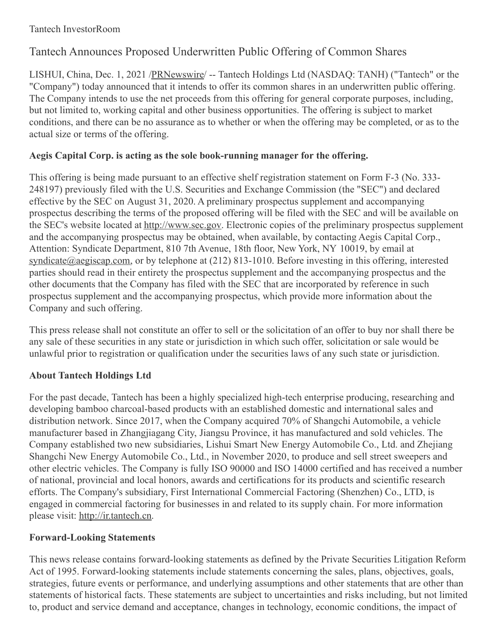### Tantech InvestorRoom

# Tantech Announces Proposed Underwritten Public Offering of Common Shares

LISHUI, China, Dec. 1, 2021 [/PRNewswire](http://www.prnewswire.com/)/ -- Tantech Holdings Ltd (NASDAQ: TANH) ("Tantech" or the "Company") today announced that it intends to offer its common shares in an underwritten public offering. The Company intends to use the net proceeds from this offering for general corporate purposes, including, but not limited to, working capital and other business opportunities. The offering is subject to market conditions, and there can be no assurance as to whether or when the offering may be completed, or as to the actual size or terms of the offering.

## **Aegis Capital Corp. is acting as the sole book-running manager for the offering.**

This offering is being made pursuant to an effective shelf registration statement on Form F-3 (No. 333- 248197) previously filed with the U.S. Securities and Exchange Commission (the "SEC") and declared effective by the SEC on August 31, 2020. A preliminary prospectus supplement and accompanying prospectus describing the terms of the proposed offering will be filed with the SEC and will be available on the SEC's website located at <http://www.sec.gov>. Electronic copies of the preliminary prospectus supplement and the accompanying prospectus may be obtained, when available, by contacting Aegis Capital Corp., Attention: Syndicate Department, 810 7th Avenue, 18th floor, New York, NY 10019, by email at [syndicate@aegiscap.com](mailto:syndicate@aegiscap.com), or by telephone at (212) 813-1010. Before investing in this offering, interested parties should read in their entirety the prospectus supplement and the accompanying prospectus and the other documents that the Company has filed with the SEC that are incorporated by reference in such prospectus supplement and the accompanying prospectus, which provide more information about the Company and such offering.

This press release shall not constitute an offer to sell or the solicitation of an offer to buy nor shall there be any sale of these securities in any state or jurisdiction in which such offer, solicitation or sale would be unlawful prior to registration or qualification under the securities laws of any such state or jurisdiction.

## **About Tantech Holdings Ltd**

For the past decade, Tantech has been a highly specialized high-tech enterprise producing, researching and developing bamboo charcoal-based products with an established domestic and international sales and distribution network. Since 2017, when the Company acquired 70% of Shangchi Automobile, a vehicle manufacturer based in Zhangjiagang City, Jiangsu Province, it has manufactured and sold vehicles. The Company established two new subsidiaries, Lishui Smart New Energy Automobile Co., Ltd. and Zhejiang Shangchi New Energy Automobile Co., Ltd., in November 2020, to produce and sell street sweepers and other electric vehicles. The Company is fully ISO 90000 and ISO 14000 certified and has received a number of national, provincial and local honors, awards and certifications for its products and scientific research efforts. The Company's subsidiary, First International Commercial Factoring (Shenzhen) Co., LTD, is engaged in commercial factoring for businesses in and related to its supply chain. For more information please visit: [http://ir.tantech.cn](http://ir.tantech.cn/).

### **Forward-Looking Statements**

This news release contains forward-looking statements as defined by the Private Securities Litigation Reform Act of 1995. Forward-looking statements include statements concerning the sales, plans, objectives, goals, strategies, future events or performance, and underlying assumptions and other statements that are other than statements of historical facts. These statements are subject to uncertainties and risks including, but not limited to, product and service demand and acceptance, changes in technology, economic conditions, the impact of